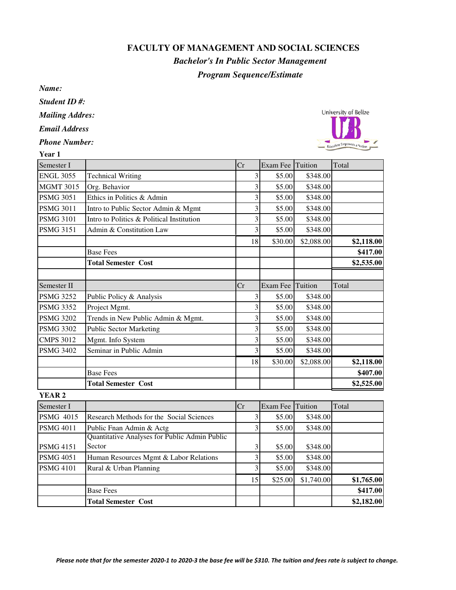## **FACULTY OF MANAGEMENT AND SOCIAL SCIENCES**

## *Program Sequence/Estimate Bachelor's In Public Sector Management*

*Name:*

*Student ID #:*

*Mailing Addres:*

*Email Address*

*Phone Number:*



15 \$25.00 \$1,740.00 **\$1,765.00**

| Year 1           |                                                         |                         |          |            |            |
|------------------|---------------------------------------------------------|-------------------------|----------|------------|------------|
| Semester I       |                                                         | Cr                      | Exam Fee | Tuition    | Total      |
| <b>ENGL 3055</b> | <b>Technical Writing</b>                                | 3                       | \$5.00   | \$348.00   |            |
| <b>MGMT 3015</b> | Org. Behavior                                           | 3                       | \$5.00   | \$348.00   |            |
| <b>PSMG 3051</b> | Ethics in Politics & Admin                              | 3                       | \$5.00   | \$348.00   |            |
| <b>PSMG 3011</b> | Intro to Public Sector Admin & Mgmt                     | 3                       | \$5.00   | \$348.00   |            |
| <b>PSMG 3101</b> | Intro to Politics & Political Institution               | 3                       | \$5.00   | \$348.00   |            |
| <b>PSMG 3151</b> | Admin & Constitution Law                                | 3                       | \$5.00   | \$348.00   |            |
|                  |                                                         | 18                      | \$30.00  | \$2,088.00 | \$2,118.00 |
|                  | <b>Base Fees</b>                                        |                         |          |            | \$417.00   |
|                  | <b>Total Semester Cost</b>                              |                         |          |            | \$2,535.00 |
|                  |                                                         |                         |          |            |            |
| Semester II      |                                                         | Cr                      | Exam Fee | Tuition    | Total      |
| <b>PSMG 3252</b> | Public Policy & Analysis                                | 3                       | \$5.00   | \$348.00   |            |
| <b>PSMG 3352</b> | Project Mgmt.                                           | 3                       | \$5.00   | \$348.00   |            |
| <b>PSMG 3202</b> | Trends in New Public Admin & Mgmt.                      | 3                       | \$5.00   | \$348.00   |            |
| <b>PSMG 3302</b> | <b>Public Sector Marketing</b>                          | 3                       | \$5.00   | \$348.00   |            |
| <b>CMPS 3012</b> | Mgmt. Info System                                       | 3                       | \$5.00   | \$348.00   |            |
| <b>PSMG 3402</b> | Seminar in Public Admin                                 | $\overline{\mathbf{3}}$ | \$5.00   | \$348.00   |            |
|                  |                                                         | 18                      | \$30.00  | \$2,088.00 | \$2,118.00 |
|                  | <b>Base Fees</b>                                        |                         |          |            | \$407.00   |
|                  | <b>Total Semester Cost</b>                              |                         |          |            | \$2,525.00 |
| <b>YEAR 2</b>    |                                                         |                         |          |            |            |
| Semester I       |                                                         | Cr                      | Exam Fee | Tuition    | Total      |
| <b>PSMG 4015</b> | Research Methods for the Social Sciences                | $\mathfrak{Z}$          | \$5.00   | \$348.00   |            |
| <b>PSMG 4011</b> | Public Fnan Admin & Actg                                | 3                       | \$5.00   | \$348.00   |            |
| <b>PSMG 4151</b> | Quantitative Analyses for Public Admin Public<br>Sector | 3                       | \$5.00   | \$348.00   |            |

PSMG 4051 Human Resources Mgmt & Labor Relations 3 \$5.00 \$348.00 PSMG 4101 Rural & Urban Planning 3 \$5.00 \$348.00

Base Fees **\$417.00 Total Semester Cost \$2,182.00**